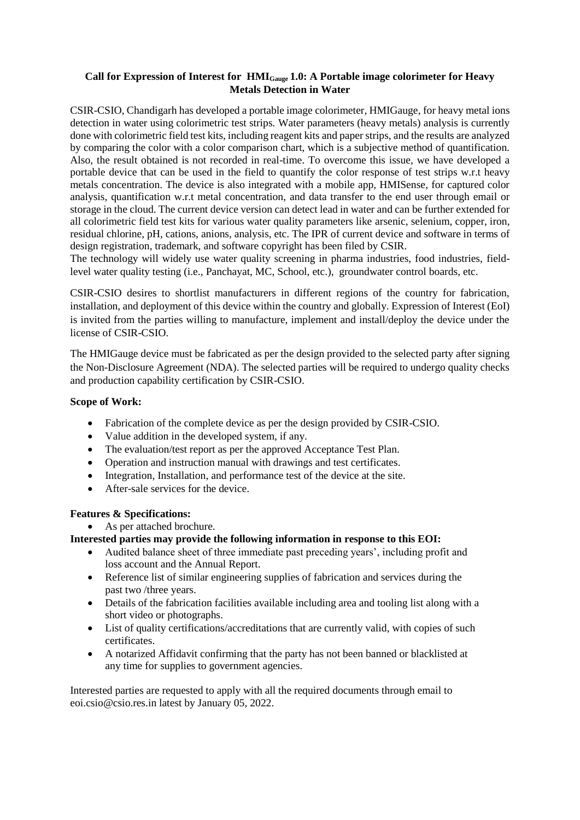### **Call for Expression of Interest for HMIGauge 1.0: A Portable image colorimeter for Heavy Metals Detection in Water**

CSIR-CSIO, Chandigarh has developed a portable image colorimeter, HMIGauge, for heavy metal ions detection in water using colorimetric test strips. Water parameters (heavy metals) analysis is currently done with colorimetric field test kits, including reagent kits and paper strips, and the results are analyzed by comparing the color with a color comparison chart, which is a subjective method of quantification. Also, the result obtained is not recorded in real-time. To overcome this issue, we have developed a portable device that can be used in the field to quantify the color response of test strips w.r.t heavy metals concentration. The device is also integrated with a mobile app, HMISense, for captured color analysis, quantification w.r.t metal concentration, and data transfer to the end user through email or storage in the cloud. The current device version can detect lead in water and can be further extended for all colorimetric field test kits for various water quality parameters like arsenic, selenium, copper, iron, residual chlorine, pH, cations, anions, analysis, etc. The IPR of current device and software in terms of design registration, trademark, and software copyright has been filed by CSIR.

The technology will widely use water quality screening in pharma industries, food industries, fieldlevel water quality testing (i.e., Panchayat, MC, School, etc.), groundwater control boards, etc.

CSIR-CSIO desires to shortlist manufacturers in different regions of the country for fabrication, installation, and deployment of this device within the country and globally. Expression of Interest (EoI) is invited from the parties willing to manufacture, implement and install/deploy the device under the license of CSIR-CSIO.

The HMIGauge device must be fabricated as per the design provided to the selected party after signing the Non-Disclosure Agreement (NDA). The selected parties will be required to undergo quality checks and production capability certification by CSIR-CSIO.

### **Scope of Work:**

- Fabrication of the complete device as per the design provided by CSIR-CSIO.
- Value addition in the developed system, if any.
- The evaluation/test report as per the approved Acceptance Test Plan.
- Operation and instruction manual with drawings and test certificates.
- Integration, Installation, and performance test of the device at the site.
- After-sale services for the device.

#### **Features & Specifications:**

As per attached brochure.

#### **Interested parties may provide the following information in response to this EOI:**

- Audited balance sheet of three immediate past preceding years', including profit and loss account and the Annual Report.
- Reference list of similar engineering supplies of fabrication and services during the past two /three years.
- Details of the fabrication facilities available including area and tooling list along with a short video or photographs.
- List of quality certifications/accreditations that are currently valid, with copies of such certificates.
- A notarized Affidavit confirming that the party has not been banned or blacklisted at any time for supplies to government agencies.

Interested parties are requested to apply with all the required documents through email to eoi.csio@csio.res.in latest by January 05, 2022.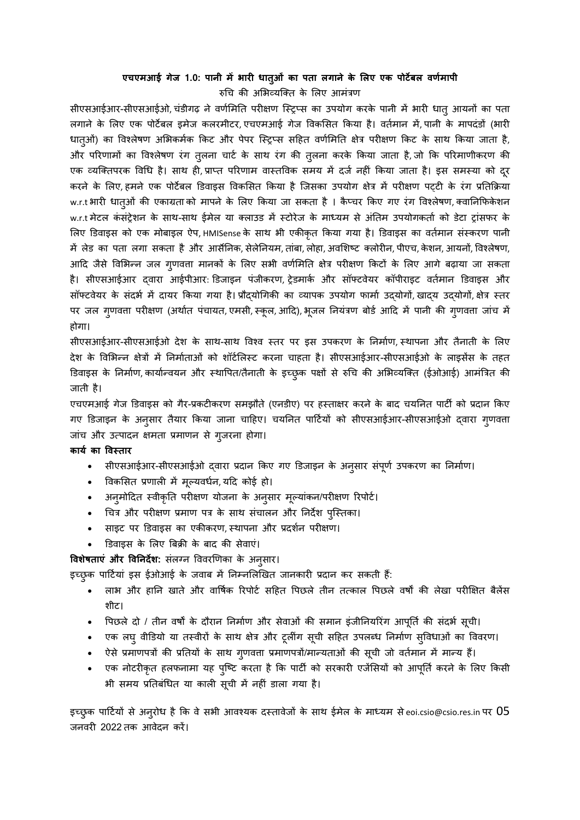### **एचएमआई गेज 1.0: पानी मेंभारी धातुओं का पता लगाने के ललए एक पोर्टेबल वर्मण ापी** रुचि की अभिव्यक्ति के भिए आमंत्रण

सीएसआईआर-सीएसआईओ, चंडीगढ़ ने वर्णमिति परीक्षण स्ट्रिप्स का उपयोग करके पानी में भारी धात् आयनों का पता लगाने के लिए एक पोर्टेबल इमेज कलरमीटर, एचएमआई गेज विकसित किया है। वर्तमान में, पानी के मापदंडों (भारी धात्ओं) का विश्लेषण अभिकर्मक किट और पेपर स्ट्रिप्स सहित वर्णमिति क्षेत्र परीक्षण किट के साथ किया जाता है, और परिणामों का विश्लेषण रंग तुलना चार्ट के साथ रंग की तुलना करके किया जाता है, जो कि परिमाणीकरण की एक व्यक्तिपरक विधि है। साथ ही, प्राप्त परिणाम वास्तविक समय में दर्ज नहीं किया जाता है। इस समस्या को दूर करने के लिए, हमने एक पोर्टेबल डिवाइस विकसित किया है जिसका उपयोग क्षेत्र में परीक्षण पट्टी के रंग प्रतिक्रिया w.r.t भारी धात्ओं की एकाग्रता को मापने के लिए किया जा सकता है । कैप्चर किए गए रंग विश्लेषण, क्वानिफिकेशन w.r.t मेटल कंसंट्रेशन के साथ-साथ ईमेल या क्लाउड में स्टोरेज के माध्यम से अंतिम उपयोगकर्ता को डेटा ट्रांसफर के लिए डिवाइस को एक मोबाइल ऐप, HMISense के साथ भी एकीकृत किया गया है। डिवाइस का वर्तमान संस्करण पानी में लेड का पता लगा सकता है और आर्सेनिक, सेलेनियम, तांबा, लोहा, अवशिष्ट क्लोरीन, पीएच, केशन, आयनों, विश्लेषण, आदि जैसे विभिन्न जल गुणवत्ता मानकों के लिए सभी वर्णमिति क्षेत्र परीक्षण किटों के लिए आगे बढ़ाया जा सकता है। सीएसआईआर दवारा आईपीआर: डिजाइन पंजीकरण, ट्रेडमार्क और सॉफ्टवेयर कॉपीराइट वर्तमान डिवाइस और सॉफ्टवेयर के संदर्भ में दायर किया गया है। प्रौद्योगिकी का व्यापक उपयोग फार्मा उद्योगों, खाद्य उद्योगों, क्षेत्र स्तर पर जल गुणवत्ता परीक्षण (अर्थात पंचायत, एमसी, स्कूल, आदि), भूजल नियंत्रण बोर्ड आदि में पानी की गृणवत्ता जांच में होगा।

सीएसआईआर-सीएसआईओ देश के साथ-साथ विश्व स्तर पर इस उपकरण के निर्माण, स्थापना और तैनाती के लिए देश के विभिन्न क्षेत्रों में निर्माताओं को शॉर्टलिस्ट करना चाहता है। सीएसआईआर-सीएसआईओ के लाइसेंस के तहत डिवाइस के निर्माण, कार्यान्वयन और स्थापित/तैनाती के इच्छुक पक्षों से रुचि की अभिव्यक्ति (ईओआई) आमंत्रित की जाती है।

एचएमआई गेज डिवाइस को गैर-प्रकटीकरण समझौते (एनडीए) पर हस्ताक्षर करने के बाद चयनित पार्टी को प्रदान किए गए डिजाइन के अनुसार तैयार किया जाना चाहिए। चयनित पार्टियों को सीएसआईआर-सीएसआईओ द्वारा गुणवत्ता जांच और उत्पादन क्षमता प्रमाणन से गुजरना होगा।

#### **कार्ण का ववस्तार**

- सीएसआईआर-सीएसआईओ दवारा प्रदान किए गए डिजाइन के अनुसार संपूर्ण उपकरण का निर्माण।
- विकसित प्रणाली में मूल्यवर्धन, यदि कोई हो।
- अनुमोदित स्वीकृति परीक्षण योजना के अनुसार मूल्यांकन/परीक्षण रिपोर्ट।
- चित्र और परीक्षण प्रमाण पत्र के साथ संचालन और निर्देश पुस्तिका।
- साइट पर डिवाइस का एकीकरण, स्थापना और प्रदर्शन परीक्षण।
- डिवाइस के लिए बिक्री के बाद की सेवाएं।

**विशेषताएं और विनिर्देश:** संलग्न विवरणिका के अनुसार।

इच्छुक पार्टियां इस ईओआई के जवाब में निम्नलिखित जानकारी प्रदान कर सकती हैं:

- लाभ और हानि खाते और वार्षिक रिपोर्ट सहित पिछले तीन तत्काल पिछले वर्षों की लेखा परीक्षित बैलेंस शीर्ट।
- पिछले दो / तीन वर्षों के दौरान निर्माण और सेवाओं की समान इंजीनियरिंग आपूर्ति की संदर्भ सूची।
- एक लघु वीडियो या तस्वीरों के साथ क्षेत्र और टूलींग सूची सहित उपलब्ध निर्माण सुविधाओं का विवरण।
- ऐसे प्रमाणपत्रों की प्रतियों के साथ गुणवत्ता प्रमाणपत्रों/मान्यताओं की सूची जो वर्तमान में मान्य हैं।
- एक नोटरीकृत हलफनामा यह प्ष्टि करता है कि पार्टी को सरकारी एजेंसियों को आपूर्ति करने के लिए किसी भी समय प्रतिबंधित या काली सूची में नहीं डाला गया है।

इच्छुक पार्टियों से अनुरोध है कि वे सभी आवश्यक दस्तावेजों के साथ ईमेल के माध्यम से eoi.csio@csio.res.in पर  $05$ जनवरी 2022 तक आवेदन करें।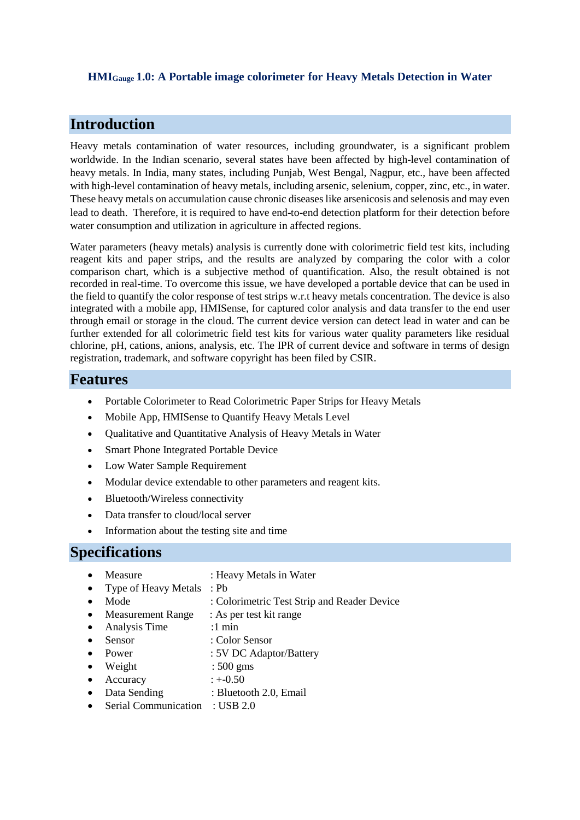### **HMIGauge 1.0: A Portable image colorimeter for Heavy Metals Detection in Water**

## **Introduction**

Heavy metals contamination of water resources, including groundwater, is a significant problem worldwide. In the Indian scenario, several states have been affected by high-level contamination of heavy metals. In India, many states, including Punjab, West Bengal, Nagpur, etc., have been affected with high-level contamination of heavy metals, including arsenic, selenium, copper, zinc, etc., in water. These heavy metals on accumulation cause chronic diseases like arsenicosis and selenosis and may even lead to death. Therefore, it is required to have end-to-end detection platform for their detection before water consumption and utilization in agriculture in affected regions.

Water parameters (heavy metals) analysis is currently done with colorimetric field test kits, including reagent kits and paper strips, and the results are analyzed by comparing the color with a color comparison chart, which is a subjective method of quantification. Also, the result obtained is not recorded in real-time. To overcome this issue, we have developed a portable device that can be used in the field to quantify the color response of test strips w.r.t heavy metals concentration. The device is also integrated with a mobile app, HMISense, for captured color analysis and data transfer to the end user through email or storage in the cloud. The current device version can detect lead in water and can be further extended for all colorimetric field test kits for various water quality parameters like residual chlorine, pH, cations, anions, analysis, etc. The IPR of current device and software in terms of design registration, trademark, and software copyright has been filed by CSIR.

### **Features**

- Portable Colorimeter to Read Colorimetric Paper Strips for Heavy Metals
- Mobile App, HMISense to Quantify Heavy Metals Level
- Qualitative and Quantitative Analysis of Heavy Metals in Water
- Smart Phone Integrated Portable Device
- Low Water Sample Requirement
- Modular device extendable to other parameters and reagent kits.
- Bluetooth/Wireless connectivity
- Data transfer to cloud/local server
- Information about the testing site and time

## **Specifications**

- Measure : Heavy Metals in Water
- Type of Heavy Metals : Pb
	- Mode : Colorimetric Test Strip and Reader Device
- Measurement Range : As per test kit range
- Analysis Time :1 min
- Sensor : Color Sensor
- Power : 5V DC Adaptor/Battery
- Weight : 500 gms
- Accuracy  $: +0.50$
- Data Sending : Bluetooth 2.0, Email
- Serial Communication : USB 2.0